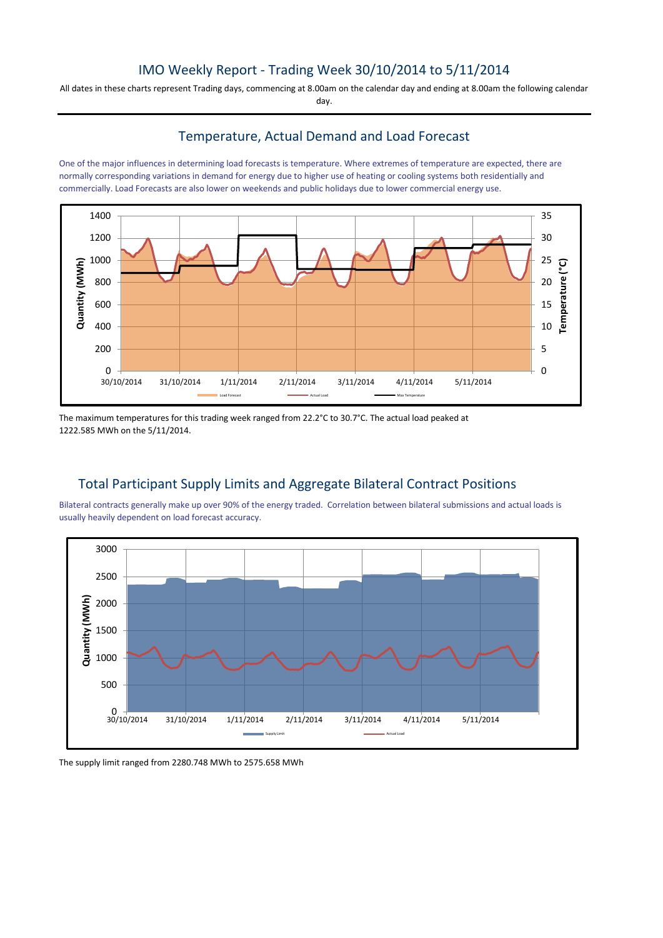# IMO Weekly Report - Trading Week 30/10/2014 to 5/11/2014

All dates in these charts represent Trading days, commencing at 8.00am on the calendar day and ending at 8.00am the following calendar day.

# Temperature, Actual Demand and Load Forecast

One of the major influences in determining load forecasts is temperature. Where extremes of temperature are expected, there are normally corresponding variations in demand for energy due to higher use of heating or cooling systems both residentially and commercially. Load Forecasts are also lower on weekends and public holidays due to lower commercial energy use.



The maximum temperatures for this trading week ranged from 22.2°C to 30.7°C. The actual load peaked at 1222.585 MWh on the 5/11/2014.

# Total Participant Supply Limits and Aggregate Bilateral Contract Positions

Bilateral contracts generally make up over 90% of the energy traded. Correlation between bilateral submissions and actual loads is usually heavily dependent on load forecast accuracy.



The supply limit ranged from 2280.748 MWh to 2575.658 MWh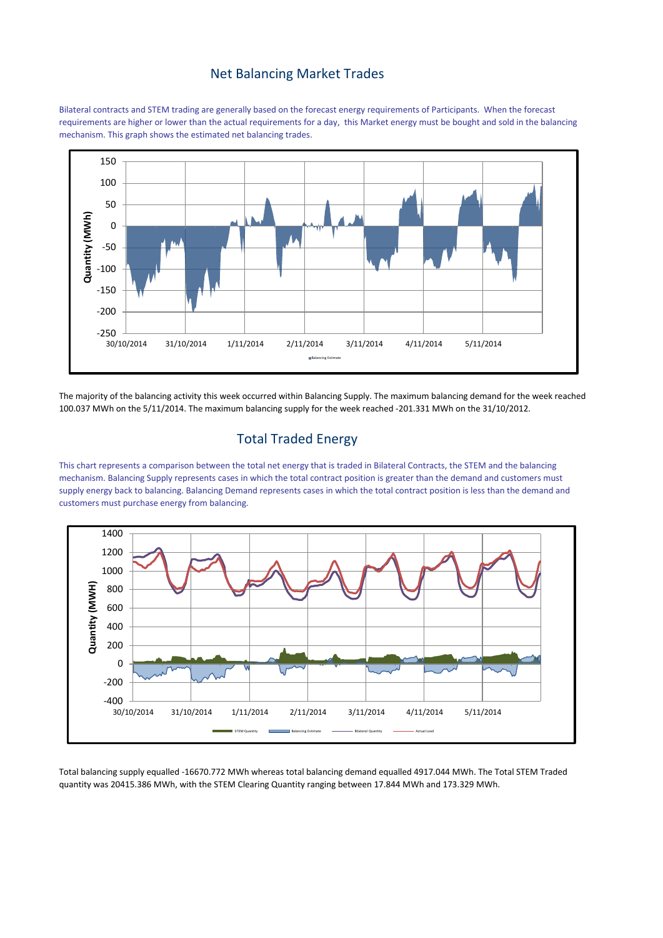#### Net Balancing Market Trades

Bilateral contracts and STEM trading are generally based on the forecast energy requirements of Participants. When the forecast requirements are higher or lower than the actual requirements for a day, this Market energy must be bought and sold in the balancing mechanism. This graph shows the estimated net balancing trades.



The majority of the balancing activity this week occurred within Balancing Supply. The maximum balancing demand for the week reached 100.037 MWh on the 5/11/2014. The maximum balancing supply for the week reached -201.331 MWh on the 31/10/2012.

### Total Traded Energy

This chart represents a comparison between the total net energy that is traded in Bilateral Contracts, the STEM and the balancing mechanism. Balancing Supply represents cases in which the total contract position is greater than the demand and customers must supply energy back to balancing. Balancing Demand represents cases in which the total contract position is less than the demand and customers must purchase energy from balancing.



Total balancing supply equalled -16670.772 MWh whereas total balancing demand equalled 4917.044 MWh. The Total STEM Traded quantity was 20415.386 MWh, with the STEM Clearing Quantity ranging between 17.844 MWh and 173.329 MWh.